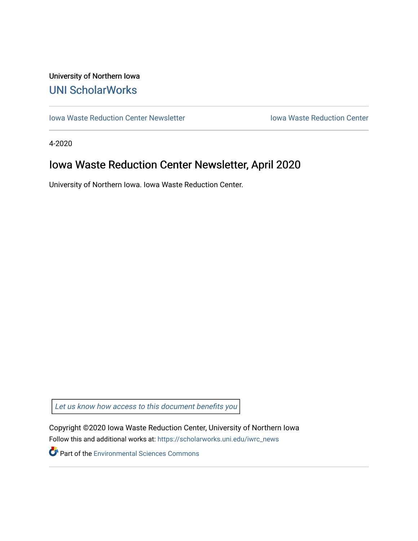## University of Northern Iowa [UNI ScholarWorks](https://scholarworks.uni.edu/)

[Iowa Waste Reduction Center Newsletter](https://scholarworks.uni.edu/iwrc_news) **Internal Communist Communist Center** Iowa Waste Reduction Center

4-2020

# Iowa Waste Reduction Center Newsletter, April 2020

University of Northern Iowa. Iowa Waste Reduction Center.

Let us know how access to this document benefits you

Copyright ©2020 Iowa Waste Reduction Center, University of Northern Iowa Follow this and additional works at: [https://scholarworks.uni.edu/iwrc\\_news](https://scholarworks.uni.edu/iwrc_news?utm_source=scholarworks.uni.edu%2Fiwrc_news%2F40&utm_medium=PDF&utm_campaign=PDFCoverPages) 

**Part of the [Environmental Sciences Commons](http://network.bepress.com/hgg/discipline/167?utm_source=scholarworks.uni.edu%2Fiwrc_news%2F40&utm_medium=PDF&utm_campaign=PDFCoverPages)**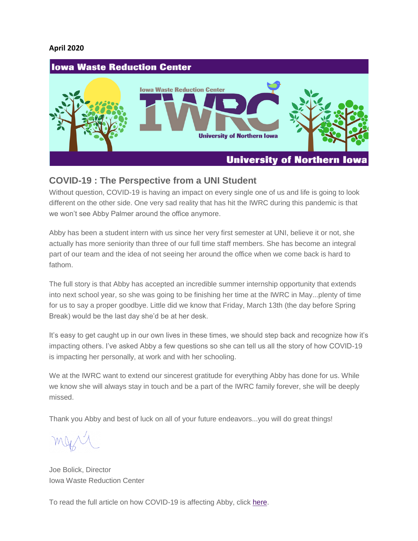#### **April 2020**



#### **COVID-19 : The Perspective from a UNI Student**

Without question, COVID-19 is having an impact on every single one of us and life is going to look different on the other side. One very sad reality that has hit the IWRC during this pandemic is that we won't see Abby Palmer around the office anymore.

Abby has been a student intern with us since her very first semester at UNI, believe it or not, she actually has more seniority than three of our full time staff members. She has become an integral part of our team and the idea of not seeing her around the office when we come back is hard to fathom.

The full story is that Abby has accepted an incredible summer internship opportunity that extends into next school year, so she was going to be finishing her time at the IWRC in May...plenty of time for us to say a proper goodbye. Little did we know that Friday, March 13th (the day before Spring Break) would be the last day she'd be at her desk.

It's easy to get caught up in our own lives in these times, we should step back and recognize how it's impacting others. I've asked Abby a few questions so she can tell us all the story of how COVID-19 is impacting her personally, at work and with her schooling.

We at the IWRC want to extend our sincerest gratitude for everything Abby has done for us. While we know she will always stay in touch and be a part of the IWRC family forever, she will be deeply missed.

Thank you Abby and best of luck on all of your future endeavors...you will do great things!

Joe Bolick, Director Iowa Waste Reduction Center

To read the full article on how COVID-19 is affecting Abby, click [here.](https://iwrc.uni.edu/covid-19-the%C2%A0perspective-from-a-uni-student%C2%A0)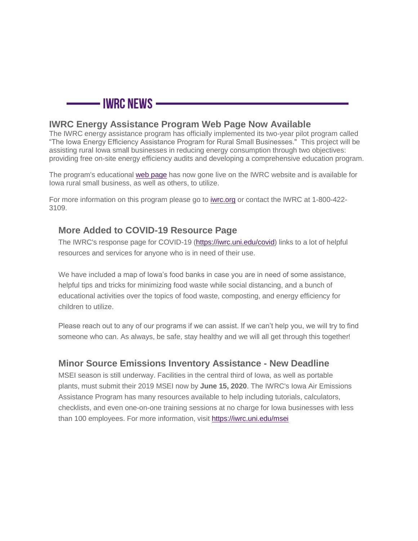

#### **IWRC Energy Assistance Program Web Page Now Available**

The IWRC energy assistance program has officially implemented its two-year pilot program called "The Iowa Energy Efficiency Assistance Program for Rural Small Businesses." This project will be assisting rural Iowa small businesses in reducing energy consumption through two objectives: providing free on-site energy efficiency audits and developing a comprehensive education program.

The program's educational [web page](https://iwrc.uni.edu/iowa-energy-efficiency) has now gone live on the IWRC website and is available for Iowa rural small business, as well as others, to utilize.

For more information on this program please go to [iwrc.org](https://iwrc.org/) or contact the IWRC at 1-800-422- 3109.

### **More Added to COVID-19 Resource Page**

The IWRC's response page for COVID-19 [\(https://iwrc.uni.edu/covid\)](https://iwrc.uni.edu/covid) links to a lot of helpful resources and services for anyone who is in need of their use.

We have included a map of Iowa's food banks in case you are in need of some assistance, helpful tips and tricks for minimizing food waste while social distancing, and a bunch of educational activities over the topics of food waste, composting, and energy efficiency for children to utilize.

Please reach out to any of our programs if we can assist. If we can't help you, we will try to find someone who can. As always, be safe, stay healthy and we will all get through this together!

### **Minor Source Emissions Inventory Assistance - New Deadline**

MSEI season is still underway. Facilities in the central third of Iowa, as well as portable plants, must submit their 2019 MSEI now by **June 15, 2020**. The IWRC's Iowa Air Emissions Assistance Program has many resources available to help including tutorials, calculators, checklists, and even one-on-one training sessions at no charge for Iowa businesses with less than 100 employees. For more information, visit <https://iwrc.uni.edu/msei>